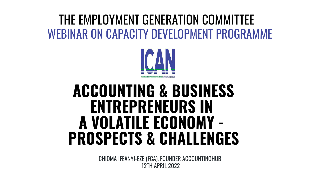### **ACCOUNTING & BUSINESS ENTREPRENEURS IN A VOLATILE ECONOMY - PROSPECTS & CHALLENGES**

### WEBINAR ON CAPACITY DEVELOPMENT PROGRAMME THE EMPLOYMENT GENERATION COMMITTEE



12TH APRIL 2022 CHIOMA IFEANYI-EZE (FCA), FOUNDER ACCOUNTINGHUB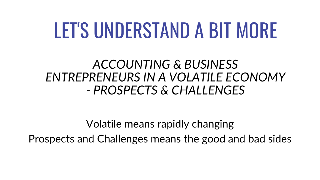### LET'S UNDERSTAND A BIT MORE

### *ACCOUNTING & BUSINESS ENTREPRENEURS IN A VOLATILE ECONOMY - PROSPECTS & CHALLENGES*

Volatile means rapidly changing Prospects and Challenges means the good and bad sides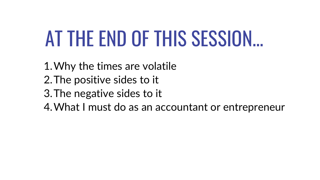### AT THE END OF THIS SESSION...

Why the times are volatile 1. 2. The positive sides to it 3. The negative sides to it What I must do as an accountant or entrepreneur 4.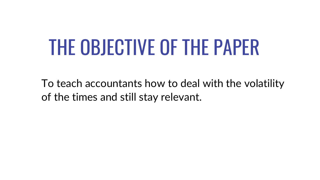# THE OBJECTIVE OF THE PAPER

To teach accountants how to deal with the volatility of the times and still stay relevant.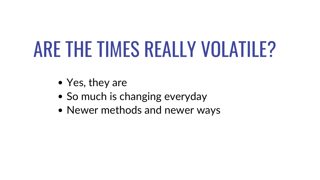# ARE THE TIMES REALLY VOLATILE?

- Yes, they are
- So much is changing everyday
- Newer methods and newer ways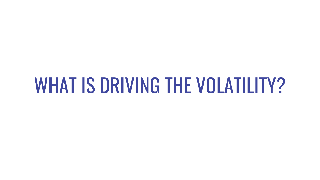### WHAT IS DRIVING THE VOLATILITY?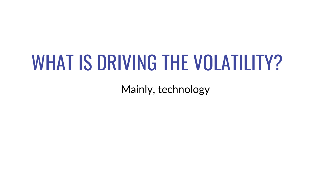# WHAT IS DRIVING THE VOLATILITY?

Mainly, technology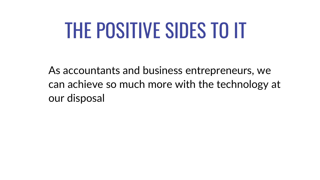### THE POSITIVE SIDES TO IT

As accountants and business entrepreneurs, we can achieve so much more with the technology at our disposal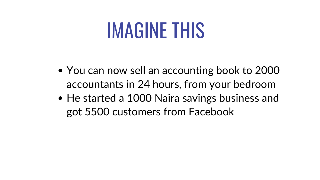### IMAGINE THIS

- You can now sell an accounting book to 2000 accountants in 24 hours, from your bedroom
- He started a 1000 Naira savings business and got 5500 customers from Facebook

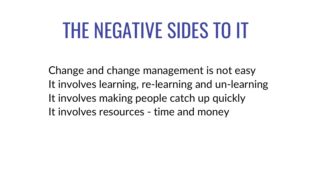# THE NEGATIVE SIDES TO IT

Change and change management is not easy It involves learning, re-learning and un-learning It involves making people catch up quickly It involves resources - time and money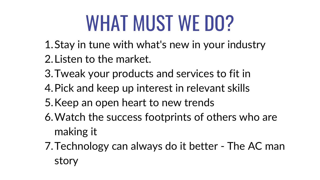- 1. Stay in tune with what's new in your industry
- 2. Listen to the market.
- 3. Tweak your products and services to fit in
- 4. Pick and keep up interest in relevant skills
- 5. Keep an open heart to new trends
- Watch the success footprints of others who are 6. making it
- 7. Technology can always do it better The AC man story

- 
- 

### WHAT MUST WE DO?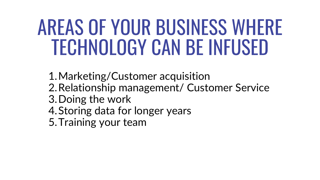### AREAS OF YOUR BUSINESS WHERE TECHNOLOGY CAN BE INFUSED

Marketing/Customer acquisition 1. 2. Relationship management/ Customer Service 3. Doing the work 4. Storing data for longer years 5. Training your team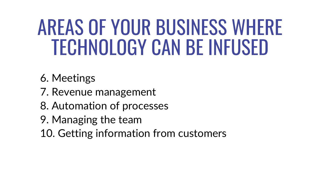- 6. Meetings
- 7. Revenue management
- 8. Automation of processes
- 9. Managing the team
- 10. Getting information from customers

### AREAS OF YOUR BUSINESS WHERE TECHNOLOGY CAN BE INFUSED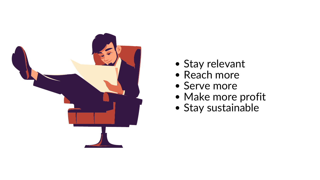

- 
- 
- 
- 
- 

### Stay relevant • Reach more Serve more Make more profit Stay sustainable